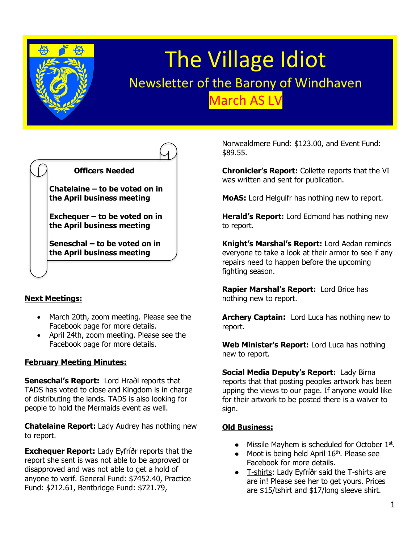

# The Village Idiot Newsletter of the Barony of Windhaven March AS LV



## **Next Meetings:**

- March 20th, zoom meeting. Please see the Facebook page for more details.
- April 24th, zoom meeting. Please see the Facebook page for more details.

## **February Meeting Minutes:**

**Seneschal's Report:** Lord Hraði reports that TADS has voted to close and Kingdom is in charge of distributing the lands. TADS is also looking for people to hold the Mermaids event as well.

**Chatelaine Report:** Lady Audrey has nothing new to report.

**Exchequer Report:** Lady Eyfríðr reports that the report she sent is was not able to be approved or disapproved and was not able to get a hold of anyone to verif. General Fund: \$7452.40, Practice Fund: \$212.61, Bentbridge Fund: \$721.79,

Norwealdmere Fund: \$123.00, and Event Fund: \$89.55.

**Chronicler's Report:** Collette reports that the VI was written and sent for publication.

**MoAS:** Lord Helgulfr has nothing new to report.

**Herald's Report:** Lord Edmond has nothing new to report.

**Knight's Marshal's Report:** Lord Aedan reminds everyone to take a look at their armor to see if any repairs need to happen before the upcoming fighting season.

**Rapier Marshal's Report:** Lord Brice has nothing new to report.

**Archery Captain:** Lord Luca has nothing new to report.

**Web Minister's Report:** Lord Luca has nothing new to report.

**Social Media Deputy's Report:** Lady Birna reports that that posting peoples artwork has been upping the views to our page. If anyone would like for their artwork to be posted there is a waiver to sign.

## **Old Business:**

- $\bullet$  Missile Mayhem is scheduled for October  $1<sup>st</sup>$ .
- Moot is being held April 16<sup>th</sup>. Please see Facebook for more details.
- T-shirts: Lady Eyfríðr said the T-shirts are are in! Please see her to get yours. Prices are \$15/tshirt and \$17/long sleeve shirt.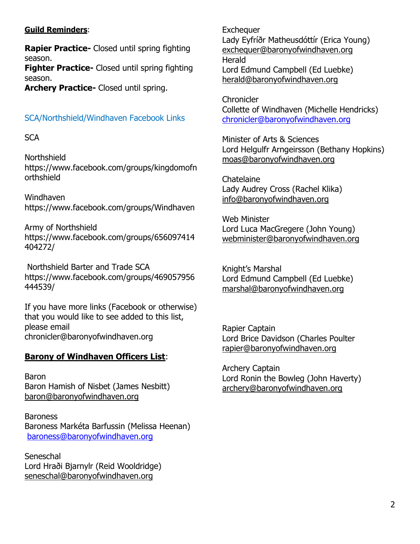# **Guild Reminders**:

**Rapier Practice-** Closed until spring fighting season.

**Fighter Practice-** Closed until spring fighting season.

**Archery Practice-** Closed until spring.

# SCA/Northshield/Windhaven Facebook Links

# **SCA**

Northshield https://www.facebook.com/groups/kingdomofn orthshield

Windhaven <https://www.facebook.com/groups/Windhaven>

Army of Northshield https://www.facebook.com/groups/656097414 404272/

Northshield Barter and Trade SCA https://www.facebook.com/groups/469057956 444539/

If you have more links (Facebook or otherwise) that you would like to see added to this list, please email chronicler@baronyofwindhaven.org

# **Barony of Windhaven Officers List**:

Baron Baron Hamish of Nisbet (James Nesbitt) [baron@baronyofwindhaven.org](mailto:baron@baronyofwindhaven.org)

Baroness Baroness Markéta Barfussin (Melissa Heenan) [baroness@baronyofwindhaven.org](mailto:baroness@baronyofwindhaven.org)

**Seneschal** Lord Hraði Bjarnylr (Reid Wooldridge) seneschal@baronyofwindhaven.org

**Exchequer** Lady Eyfríðr Matheusdóttír (Erica Young) [exchequer@baronyofwindhaven.org](mailto:exchequer@baronyofwindhaven.org) Herald Lord Edmund Campbell (Ed Luebke) [herald@baronyofwindhaven.org](mailto:herald@baronyofwindhaven.org)

**Chronicler** Collette of Windhaven (Michelle Hendricks) [chronicler@baronyofwindhaven.org](mailto:chronicler@baronyofwindhaven.org)

Minister of Arts & Sciences Lord Helgulfr Arngeirsson (Bethany Hopkins) [moas@baronyofwindhaven.org](mailto:moas@baronyofwindhaven.org)

**Chatelaine** Lady Audrey Cross (Rachel Klika) [info@baronyofwindhaven.org](mailto:info@baronyofwindhaven.org)

Web Minister Lord Luca MacGregere (John Young) [webminister@baronyofwindhaven.org](mailto:webminister@baronyofwindhaven.org)

Knight's Marshal Lord Edmund Campbell (Ed Luebke) [marshal@baronyofwindhaven.org](mailto:marshal@baronyofwindhaven.org)

Rapier Captain Lord Brice Davidson (Charles Poulter [rapier@baronyofwindhaven.org](mailto:rapier@baronyofwindhaven.org)

Archery Captain Lord Ronin the Bowleg (John Haverty) [archery@baronyofwindhaven.org](mailto:archery@baronyofwindhaven.org)